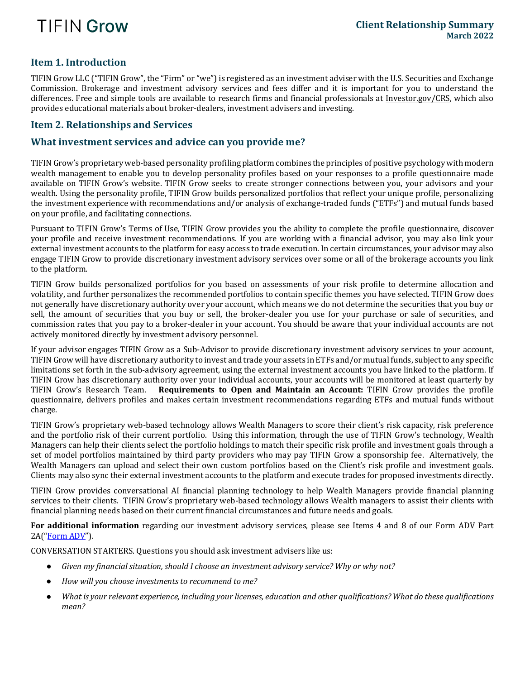

## **Item 1. Introduction**

TIFIN Grow LLC ("TIFIN Grow", the "Firm" or "we") is registered as an investment adviser with the U.S. Securities and Exchange Commission. Brokerage and investment advisory services and fees differ and it is important for you to understand the differences. Free and simple tools are available to research firms and financial professionals at [Investor.gov/CRS,](http://www.investor.gov/CRS) which also provides educational materials about broker-dealers, investment advisers and investing.

### **Item 2. Relationships and Services**

#### **What investment services and advice can you provide me?**

TIFIN Grow's proprietary web-based personality profiling platform combines the principles of positive psychology with modern wealth management to enable you to develop personality profiles based on your responses to a profile questionnaire made available on TIFIN Grow's website. TIFIN Grow seeks to create stronger connections between you, your advisors and your wealth. Using the personality profile, TIFIN Grow builds personalized portfolios that reflect your unique profile, personalizing the investment experience with recommendations and/or analysis of exchange-traded funds ("ETFs") and mutual funds based on your profile, and facilitating connections.

Pursuant to TIFIN Grow's Terms of Use, TIFIN Grow provides you the ability to complete the profile questionnaire, discover your profile and receive investment recommendations. If you are working with a financial advisor, you may also link your external investment accounts to the platform for easy access to trade execution. In certain circumstances, your advisor may also engage TIFIN Grow to provide discretionary investment advisory services over some or all of the brokerage accounts you link to the platform.

TIFIN Grow builds personalized portfolios for you based on assessments of your risk profile to determine allocation and volatility, and further personalizes the recommended portfolios to contain specific themes you have selected. TIFIN Grow does not generally have discretionary authority over your account, which means we do not determine the securities that you buy or sell, the amount of securities that you buy or sell, the broker-dealer you use for your purchase or sale of securities, and commission rates that you pay to a broker-dealer in your account. You should be aware that your individual accounts are not actively monitored directly by investment advisory personnel.

If your advisor engages TIFIN Grow as a Sub-Advisor to provide discretionary investment advisory services to your account, TIFIN Grow will have discretionary authority to invest and trade your assets in ETFs and/or mutual funds, subject to any specific limitations set forth in the sub-advisory agreement, using the external investment accounts you have linked to the platform. If TIFIN Grow has discretionary authority over your individual accounts, your accounts will be monitored at least quarterly by<br>TIFIN Grow's Research Team. **Requirements to Open and Maintain an Account:** TIFIN Grow provides th **Requirements to Open and Maintain an Account:** TIFIN Grow provides the profile questionnaire, delivers profiles and makes certain investment recommendations regarding ETFs and mutual funds without charge.

TIFIN Grow's proprietary web-based technology allows Wealth Managers to score their client's risk capacity, risk preference and the portfolio risk of their current portfolio. Using this information, through the use of TIFIN Grow's technology, Wealth Managers can help their clients select the portfolio holdings to match their specific risk profile and investment goals through a set of model portfolios maintained by third party providers who may pay TIFIN Grow a sponsorship fee. Alternatively, the Wealth Managers can upload and select their own custom portfolios based on the Client's risk profile and investment goals. Clients may also sync their external investment accounts to the platform and execute trades for proposed investments directly.

TIFIN Grow provides conversational AI financial planning technology to help Wealth Managers provide financial planning services to their clients. TIFIN Grow's proprietary web-based technology allows Wealth managers to assist their clients with financial planning needs based on their current financial circumstances and future needs and goals.

**For additional information** regarding our investment advisory services, please see Items 4 and 8 of our Form ADV Part  $2A("Form ADV")$  $2A("Form ADV")$  $2A("Form ADV")$ .

CONVERSATION STARTERS. Questions you should ask investment advisers like us:

- *Given my financial situation, should I choose an investment advisory service? Why or why not?*
- *How will you choose investments to recommend to me?*
- *What is your relevant experience, including your licenses, education and other qualifications? What do these qualifications mean?*